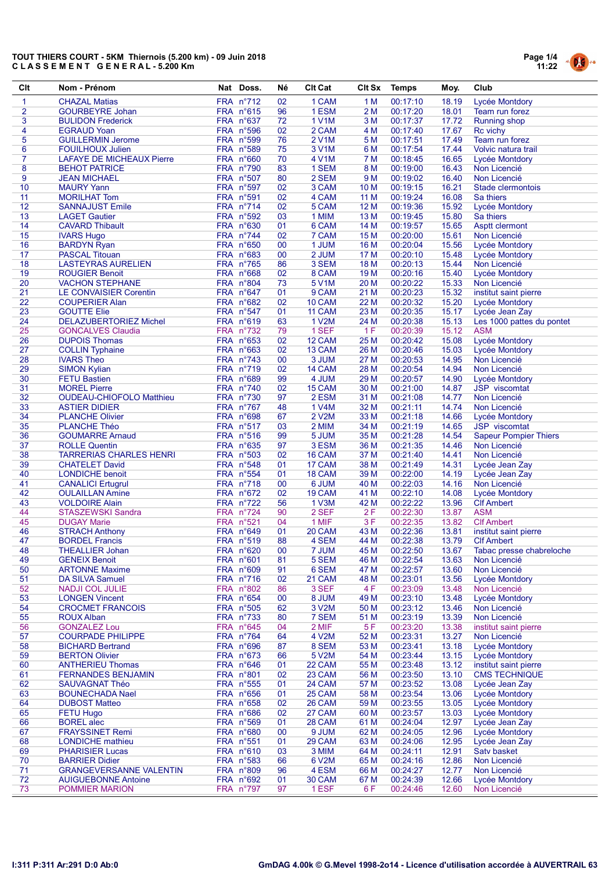

| Clt            | Nom - Prénom                                              | Nat Doss.              | Né       | <b>CIt Cat</b>   | <b>CIt Sx</b>   | <b>Temps</b>         | Moy.           | Club                                    |
|----------------|-----------------------------------------------------------|------------------------|----------|------------------|-----------------|----------------------|----------------|-----------------------------------------|
| 1              | <b>CHAZAL Matias</b>                                      | FRA n°712              | 02       | 1 CAM            | 1 M             | 00:17:10             | 18.19          | Lycée Montdory                          |
| $\overline{2}$ | <b>GOURBEYRE Johan</b>                                    | FRA n°615              | 96       | 1 ESM            | 2 M             | 00:17:20             | 18.01          | Team run forez                          |
| 3              | <b>BULIDON Frederick</b>                                  | FRA n°637              | 72       | 1 V1M            | 3M              | 00:17:37             | 17.72          | Running shop                            |
| 4              | <b>EGRAUD Yoan</b>                                        | FRA n°596              | 02       | 2 CAM            | 4 M             | 00:17:40             | 17.67          | Rc vichy                                |
| 5              | <b>GUILLERMIN Jerome</b>                                  | FRA n°599              | 76       | 2 V1M            | 5 M             | 00:17:51             | 17.49          | <b>Team run forez</b>                   |
| 6              | <b>FOUILHOUX Julien</b>                                   | FRA n°589              | 75       | 3 V1M            | 6 M             | 00:17:54             | 17.44          | Volvic natura trail                     |
| 7              | <b>LAFAYE DE MICHEAUX Pierre</b>                          | FRA n°660              | 70       | 4 V1M            | 7 M             | 00:18:45             | 16.65          | Lycée Montdory                          |
| 8              | <b>BEHOT PATRICE</b>                                      | FRA n°790              | 83       | 1 SEM            | 8 M             | 00:19:00             | 16.43          | Non Licencié                            |
| 9              | <b>JEAN MICHAEL</b>                                       | FRA n°507              | 80       | 2 SEM            | 9 M             | 00:19:02             | 16.40          | Non Licencié                            |
| 10<br>11       | <b>MAURY Yann</b><br><b>MORILHAT Tom</b>                  | FRA n°597<br>FRA n°591 | 02<br>02 | 3 CAM<br>4 CAM   | 10 M<br>11 M    | 00:19:15<br>00:19:24 | 16.21<br>16.08 | Stade clermontois<br>Sa thiers          |
| 12             | <b>SANNAJUST Emile</b>                                    | FRA n°714              | 02       | 5 CAM            | 12 M            | 00:19:36             | 15.92          | Lycée Montdory                          |
| 13             | <b>LAGET</b> Gautier                                      | FRA n°592              | 03       | 1 MIM            | 13 M            | 00:19:45             | 15.80          | Sa thiers                               |
| 14             | <b>CAVARD Thibault</b>                                    | FRA n°630              | 01       | 6 CAM            | 14 M            | 00:19:57             | 15.65          | Asptt clermont                          |
| 15             | <b>IVARS Hugo</b>                                         | FRA n°744              | 02       | 7 CAM            | 15 M            | 00:20:00             | 15.61          | Non Licencié                            |
| 16             | <b>BARDYN Ryan</b>                                        | FRA n°650              | 00       | 1 JUM            | 16 M            | 00:20:04             | 15.56          | Lycée Montdory                          |
| 17             | <b>PASCAL Titouan</b>                                     | FRA n°683              | 00       | 2 JUM            | 17 M            | 00:20:10             | 15.48          | Lycée Montdory                          |
| 18             | <b>LASTEYRAS AURELIEN</b>                                 | FRA n°765              | 86       | 3 SEM            | 18 M            | 00:20:13             | 15.44          | Non Licencié                            |
| 19             | <b>ROUGIER Benoit</b>                                     | FRA n°668              | 02       | 8 CAM            | 19 <sub>M</sub> | 00:20:16             | 15.40          | Lycée Montdory                          |
| 20             | <b>VACHON STEPHANE</b>                                    | FRA n°804              | 73       | 5 V1M            | 20 M            | 00:20:22             | 15.33          | Non Licencié                            |
| 21             | <b>LE CONVAISIER Corentin</b>                             | FRA n°647              | 01       | 9 CAM            | 21 M            | 00:20:23             | 15.32          | institut saint pierre                   |
| 22             | <b>COUPERIER Alan</b>                                     | FRA n°682              | 02       | 10 CAM           | 22 M            | 00:20:32             | 15.20          | Lycée Montdory                          |
| 23             | <b>GOUTTE Elie</b>                                        | FRA n°547              | 01       | 11 CAM           | 23 M            | 00:20:35             | 15.17          | Lycée Jean Zay                          |
| 24<br>25       | <b>DELAZUBERTORIEZ Michel</b><br><b>GONCALVES Claudia</b> | FRA n°619<br>FRA n°732 | 63<br>79 | 1 V2M<br>1 SEF   | 24 M<br>1F      | 00:20:38<br>00:20:39 | 15.13<br>15.12 | Les 1000 pattes du pontet<br><b>ASM</b> |
| 26             | <b>DUPOIS Thomas</b>                                      | FRA n°653              | 02       | 12 CAM           | 25 M            | 00:20:42             | 15.08          | Lycée Montdory                          |
| 27             | <b>COLLIN Typhaine</b>                                    | FRA n°663              | 02       | 13 CAM           | 26 M            | 00:20:46             | 15.03          | Lycée Montdory                          |
| 28             | <b>IVARS Theo</b>                                         | FRA n°743              | 00       | 3 JUM            | 27 M            | 00:20:53             | 14.95          | Non Licencié                            |
| 29             | <b>SIMON Kylian</b>                                       | FRA n°719              | 02       | 14 CAM           | 28 M            | 00:20:54             | 14.94          | Non Licencié                            |
| 30             | <b>FETU Bastien</b>                                       | FRA n°689              | 99       | 4 JUM            | 29 M            | 00:20:57             | 14.90          | Lycée Montdory                          |
| 31             | <b>MOREL Pierre</b>                                       | FRA n°740              | 02       | 15 CAM           | 30 M            | 00:21:00             | 14.87          | JSP viscomtat                           |
| 32             | <b>OUDEAU-CHIOFOLO Matthieu</b>                           | FRA n°730              | 97       | 2 ESM            | 31 M            | 00:21:08             | 14.77          | Non Licencié                            |
| 33             | <b>ASTIER DIDIER</b>                                      | FRA n°767              | 48       | 1 V4M            | 32 M            | 00:21:11             | 14.74          | Non Licencié                            |
| 34             | <b>PLANCHE Olivier</b>                                    | FRA n°698              | 67       | 2 V2M            | 33 M            | 00:21:18             | 14.66          | Lycée Montdory                          |
| 35             | <b>PLANCHE Théo</b>                                       | FRA n°517              | 03       | 2 MIM            | 34 M            | 00:21:19             | 14.65          | <b>JSP</b> viscomtat                    |
| 36<br>37       | <b>GOUMARRE Arnaud</b>                                    | FRA n°516              | 99       | 5 JUM            | 35 M            | 00:21:28<br>00:21:35 | 14.54          | <b>Sapeur Pompier Thiers</b>            |
| 38             | <b>ROLLE Quentin</b><br><b>TARRERIAS CHARLES HENRI</b>    | FRA n°635<br>FRA n°503 | 97<br>02 | 3 ESM<br>16 CAM  | 36 M<br>37 M    | 00:21:40             | 14.46<br>14.41 | Non Licencié<br>Non Licencié            |
| 39             | <b>CHATELET David</b>                                     | FRA n°548              | 01       | 17 CAM           | 38 M            | 00:21:49             | 14.31          | Lycée Jean Zay                          |
| 40             | <b>LONDICHE</b> benoit                                    | FRA n°554              | 01       | 18 CAM           | 39 M            | 00:22:00             | 14.19          | Lycée Jean Zay                          |
| 41             | <b>CANALICI Ertugrul</b>                                  | FRA n°718              | 00       | 6 JUM            | 40 M            | 00:22:03             | 14.16          | Non Licencié                            |
| 42             | <b>OULAILLAN Amine</b>                                    | FRA n°672              | 02       | 19 CAM           | 41 M            | 00:22:10             | 14.08          | Lycée Montdory                          |
| 43             | <b>VOLDOIRE Alain</b>                                     | FRA n°722              | 56       | 1 V3M            | 42 M            | 00:22:22             | 13.96          | <b>CIf Ambert</b>                       |
| 44             | <b>STASZEWSKI Sandra</b>                                  | FRA n°724              | 90       | 2 SEF            | 2F              | 00:22:30             | 13.87          | <b>ASM</b>                              |
| 45             | <b>DUGAY Marie</b>                                        | FRA n°521              | 04       | 1 MIF            | 3F              | 00:22:35             | 13.82          | <b>Clf Ambert</b>                       |
| 46             | <b>STRACH Anthony</b>                                     | FRA n°649              | 01       | 20 CAM           | 43 M            | 00:22:36             | 13.81          | institut saint pierre                   |
| 47             | <b>BORDEL Francis</b>                                     | FRA n°519              | 88       | 4 SEM            | 44 M            | 00:22:38             | 13.79          | <b>Clf Ambert</b>                       |
| 48             | <b>THEALLIER Johan</b>                                    | FRA n°620              | 00       | 7 JUM            | 45 M            | 00:22:50             | 13.67          | Tabac presse chabreloche                |
| 49<br>50       | <b>GENEIX Benoit</b><br><b>ARTONNE Maxime</b>             | FRA n°601<br>FRA n°609 | 81<br>91 | 5 SEM<br>6 SEM   | 46 M<br>47 M    | 00:22:54<br>00:22:57 | 13.63<br>13.60 | Non Licencié<br>Non Licencié            |
| 51             | <b>DA SILVA Samuel</b>                                    | FRA n°716              | 02       | 21 CAM           | 48 M            | 00:23:01             | 13.56          | Lycée Montdory                          |
| 52             | <b>NADJI COL JULIE</b>                                    | FRA n°802              | 86       | 3 SEF            | 4 F             | 00:23:09             | 13.48          | Non Licencié                            |
| 53             | <b>LONGEN Vincent</b>                                     | $FRA$ n°654            | 00       | 8 JUM            | 49 M            | 00:23:10             | 13.48          | Lycée Montdory                          |
| 54             | <b>CROCMET FRANCOIS</b>                                   | FRA n°505              | 62       | 3 V2M            | 50 M            | 00:23:12             | 13.46          | Non Licencié                            |
| 55             | <b>ROUX Alban</b>                                         | FRA n°733              | 80       | 7 SEM            | 51 M            | 00:23:19             | 13.39          | Non Licencié                            |
| 56             | <b>GONZALEZ Lou</b>                                       | FRA n°645              | 04       | 2 MIF            | 5F              | 00:23:20             | 13.38          | institut saint pierre                   |
| 57             | <b>COURPADE PHILIPPE</b>                                  | FRA n°764              | 64       | 4 V2M            | 52 M            | 00:23:31             | 13.27          | Non Licencié                            |
| 58             | <b>BICHARD Bertrand</b>                                   | FRA n°696              | 87       | 8 SEM            | 53 M            | 00:23:41             | 13.18          | Lycée Montdory                          |
| 59             | <b>BERTON Olivier</b>                                     | FRA n°673              | 66       | 5 V2M            | 54 M            | 00:23:44             | 13.15          | Lycée Montdory                          |
| 60             | <b>ANTHERIEU Thomas</b>                                   | FRA n°646              | 01       | 22 CAM           | 55 M            | 00:23:48             | 13.12          | institut saint pierre                   |
| 61<br>62       | <b>FERNANDES BENJAMIN</b><br>SAUVAGNAT Théo               | FRA n°801<br>FRA n°555 | 02<br>01 | 23 CAM<br>24 CAM | 56 M<br>57 M    | 00:23:50<br>00:23:52 | 13.10<br>13.08 | <b>CMS TECHNIQUE</b><br>Lycée Jean Zay  |
| 63             | <b>BOUNECHADA Nael</b>                                    | FRA n°656              | 01       | 25 CAM           | 58 M            | 00:23:54             | 13.06          | Lycée Montdory                          |
| 64             | <b>DUBOST Matteo</b>                                      | FRA n°658              | 02       | 26 CAM           | 59 M            | 00:23:55             | 13.05          | Lycée Montdory                          |
| 65             | <b>FETU Hugo</b>                                          | FRA n°686              | 02       | 27 CAM           | 60 M            | 00:23:57             | 13.03          | Lycée Montdory                          |
| 66             | <b>BOREL</b> alec                                         | $FRA$ n°569            | 01       | 28 CAM           | 61 M            | 00:24:04             | 12.97          | Lycée Jean Zay                          |
| 67             | <b>FRAYSSINET Remi</b>                                    | FRA n°680              | 00       | 9 JUM            | 62 M            | 00:24:05             | 12.96          | Lycée Montdory                          |
| 68             | LONDICHE mathieu                                          | FRA n°551              | 01       | 29 CAM           | 63 M            | 00:24:06             | 12.95          | Lycée Jean Zay                          |
| 69             | <b>PHARISIER Lucas</b>                                    | FRA n°610              | 03       | 3 MIM            | 64 M            | 00:24:11             | 12.91          | Satv basket                             |
| 70             | <b>BARRIER Didier</b>                                     | FRA n°583              | 66       | 6 V2M            | 65 M            | 00:24:16             | 12.86          | Non Licencié                            |
| 71             | <b>GRANGEVERSANNE VALENTIN</b>                            | FRA n°809              | 96       | 4 ESM            | 66 M            | 00:24:27             | 12.77          | Non Licencié                            |
| 72             | <b>AUIGUEBONNE Antoine</b>                                | FRA n°692              | 01       | 30 CAM           | 67 M            | 00:24:39             | 12.66          | Lycée Montdory                          |
| 73             | <b>POMMIER MARION</b>                                     | FRA n°797              | 97       | 1 ESF            | 6 F             | 00:24:46             | 12.60          | Non Licencié                            |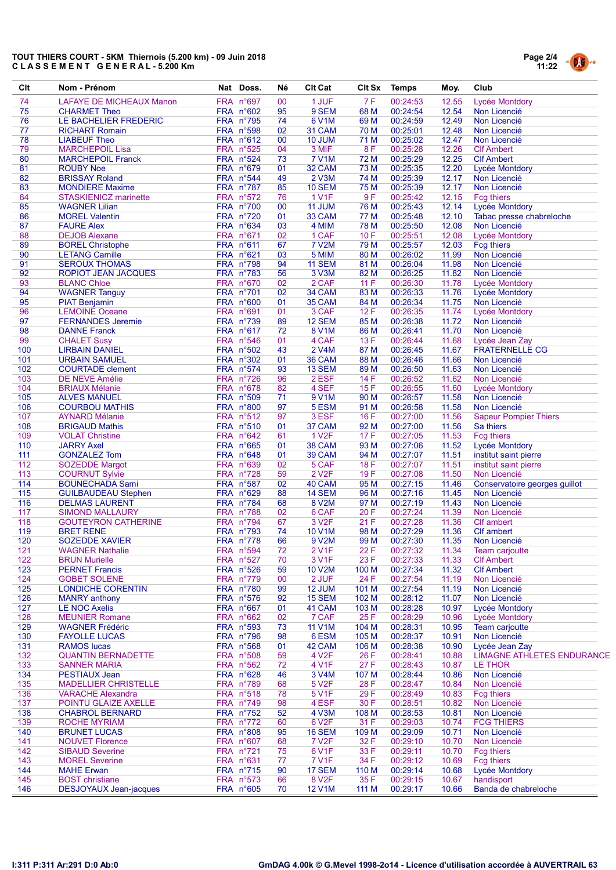

| Clt        | Nom - Prénom                              | Nat Doss.              | Né       | <b>CIt Cat</b>          | CIt Sx         | Temps                | Moy.           | Club                              |
|------------|-------------------------------------------|------------------------|----------|-------------------------|----------------|----------------------|----------------|-----------------------------------|
| 74         | LAFAYE DE MICHEAUX Manon                  | FRA n°697              | 00       | 1 JUF                   | 7F             | 00:24:53             | 12.55          | Lycée Montdory                    |
| 75         | <b>CHARMET Theo</b>                       | FRA n°602              | 95       | 9 SEM                   | 68 M           | 00:24:54             | 12.54          | Non Licencié                      |
| 76         | LE BACHELIER FREDERIC                     | <b>FRA n°795</b>       | 74       | 6 V1M                   | 69 M           | 00:24:59             | 12.49          | Non Licencié                      |
| 77         | <b>RICHART Romain</b>                     | FRA n°598              | 02       | 31 CAM                  | 70 M           | 00:25:01             | 12.48          | Non Licencié                      |
| 78         | <b>LIABEUF Theo</b>                       | FRA n°612              | 00       | 10 JUM                  | 71 M           | 00:25:02             | 12.47          | Non Licencié                      |
| 79         | <b>MARCHEPOIL Lisa</b>                    | FRA n°525              | 04       | 3 MIF                   | 8F             | 00:25:28             | 12.26          | <b>CIf Ambert</b>                 |
| 80         | <b>MARCHEPOIL Franck</b>                  | FRA n°524              | 73       | <b>7 V1M</b>            | 72 M           | 00:25:29             | 12.25          | <b>Clf Ambert</b>                 |
| 81         | <b>ROUBY Noe</b>                          | FRA n°679              | 01       | 32 CAM                  | 73 M           | 00:25:35             | 12.20          | Lycée Montdory                    |
| 82         | <b>BRISSAY Roland</b>                     | FRA n°544              | 49       | 2 V3M                   | 74 M           | 00:25:39             | 12.17          | Non Licencié                      |
| 83         | <b>MONDIERE Maxime</b>                    | FRA n°787              | 85       | <b>10 SEM</b>           | 75 M           | 00:25:39             | 12.17          | Non Licencié                      |
| 84         | <b>STASKIENICZ marinette</b>              | FRA n°572              | 76       | <b>1 V1F</b>            | 9F             | 00:25:42             | 12.15          | <b>Fcg thiers</b>                 |
| 85         | <b>WAGNER Lilian</b>                      | FRA n°700              | 00       | 11 JUM                  | 76 M           | 00:25:43             | 12.14          | Lycée Montdory                    |
| 86         | <b>MOREL Valentin</b>                     | FRA n°720              | 01       | 33 CAM                  | 77 M           | 00:25:48             | 12.10          | Tabac presse chabreloche          |
| 87         | <b>FAURE Alex</b>                         | FRA n°634              | 03       | 4 MIM                   | <b>78 M</b>    | 00:25:50             | 12.08          | Non Licencié                      |
| 88         | <b>DEJOB Alexane</b>                      | FRA n°671              | 02       | 1 CAF                   | 10F            | 00:25:51             | 12.08          | Lycée Montdory                    |
| 89         | <b>BOREL Christophe</b>                   | FRA n°611              | 67       | <b>7 V2M</b>            | 79 M           | 00:25:57             | 12.03          | Fcg thiers                        |
| 90         | <b>LETANG Camille</b>                     | FRA n°621              | 03       | 5 MIM                   | 80 M           | 00:26:02             | 11.99          | Non Licencié                      |
| 91         | <b>SEROUX THOMAS</b>                      | FRA n°798              | 94<br>56 | <b>11 SEM</b>           | 81 M<br>82 M   | 00:26:04             | 11.98          | Non Licencié                      |
| 92<br>93   | ROPIOT JEAN JACQUES<br><b>BLANC Chloe</b> | FRA n°783<br>FRA n°670 | 02       | 3 V3M<br>2 CAF          | 11F            | 00:26:25<br>00:26:30 | 11.82<br>11.78 | Non Licencié                      |
| 94         | <b>WAGNER Tanguy</b>                      | FRA n°701              | 02       | 34 CAM                  | 83 M           | 00:26:33             | 11.76          | Lycée Montdory<br>Lycée Montdory  |
| 95         | <b>PIAT Benjamin</b>                      | FRA n°600              | 01       | 35 CAM                  | 84 M           | 00:26:34             | 11.75          | Non Licencié                      |
| 96         | <b>LEMOINE Oceane</b>                     | FRA n°691              | 01       | 3 CAF                   | 12F            | 00:26:35             | 11.74          | Lycée Montdory                    |
| 97         | <b>FERNANDES Jeremie</b>                  | FRA n°739              | 89       | 12 SEM                  | 85 M           | 00:26:38             | 11.72          | Non Licencié                      |
| 98         | <b>DANNE Franck</b>                       | FRA n°617              | 72       | <b>8 V1M</b>            | 86 M           | 00:26:41             | 11.70          | Non Licencié                      |
| 99         | <b>CHALET Susy</b>                        | FRA n°546              | 01       | 4 CAF                   | 13F            | 00:26:44             | 11.68          | Lycée Jean Zay                    |
| 100        | <b>LIRBAIN DANIEL</b>                     | FRA n°502              | 43       | 2 V4M                   | 87 M           | 00:26:45             | 11.67          | <b>FRATERNELLE CG</b>             |
| 101        | <b>URBAIN SAMUEL</b>                      | FRA n°302              | 01       | 36 CAM                  | 88 M           | 00:26:46             | 11.66          | Non Licencié                      |
| 102        | <b>COURTADE</b> clement                   | FRA n°574              | 93       | 13 SEM                  | 89 M           | 00:26:50             | 11.63          | Non Licencié                      |
| 103        | DE NEVE Amélie                            | FRA n°726              | 96       | 2 ESF                   | 14 F           | 00:26:52             | 11.62          | Non Licencié                      |
| 104        | <b>BRIAUX Mélanie</b>                     | FRA n°678              | 82       | 4 SEF                   | 15F            | 00:26:55             | 11.60          | Lycée Montdory                    |
| 105        | <b>ALVES MANUEL</b>                       | FRA n°509              | 71       | 9 V1M                   | 90 M           | 00:26:57             | 11.58          | Non Licencié                      |
| 106        | <b>COURBOU MATHIS</b>                     | FRA n°800              | 97       | 5 ESM                   | 91 M           | 00:26:58             | 11.58          | Non Licencié                      |
| 107        | <b>AYNARD Mélanie</b>                     | FRA n°512              | 97       | 3 ESF                   | 16F            | 00:27:00             | 11.56          | <b>Sapeur Pompier Thiers</b>      |
| 108        | <b>BRIGAUD Mathis</b>                     | FRA n°510              | 01       | 37 CAM                  | 92 M           | 00:27:00             | 11.56          | Sa thiers                         |
| 109        | <b>VOLAT Christine</b>                    | FRA n°642              | 61       | <b>1 V2F</b>            | 17F            | 00:27:05             | 11.53          | <b>Fcg thiers</b>                 |
| 110        | <b>JARRY Axel</b>                         | FRA n°665              | 01       | 38 CAM                  | 93 M           | 00:27:06             | 11.52          | Lycée Montdory                    |
| 111        | <b>GONZALEZ Tom</b>                       | FRA n°648              | 01       | 39 CAM                  | 94 M           | 00:27:07             | 11.51          | institut saint pierre             |
| 112        | <b>SOZEDDE Margot</b>                     | FRA n°639              | 02       | 5 CAF                   | <b>18F</b>     | 00:27:07             | 11.51          | institut saint pierre             |
| 113        | <b>COURNUT Sylvie</b>                     | FRA n°728              | 59       | 2 V <sub>2</sub> F      | 19F            | 00:27:08             | 11.50          | Non Licencié                      |
| 114        | <b>BOUNECHADA Sami</b>                    | FRA n°587              | 02       | 40 CAM                  | 95 M           | 00:27:15             | 11.46          | Conservatoire georges guillot     |
| 115        | <b>GUILBAUDEAU Stephen</b>                | FRA n°629              | 88       | 14 SEM                  | 96 M           | 00:27:16             | 11.45          | Non Licencié                      |
| 116        | <b>DELMAS LAURENT</b>                     | FRA n°784              | 68       | 8 V2M                   | 97 M           | 00:27:19             | 11.43          | Non Licencié                      |
| 117        | <b>SIMOND MALLAURY</b>                    | FRA n°788              | 02       | 6 CAF                   | 20F            | 00:27:24             | 11.39          | Non Licencié                      |
| 118        | <b>GOUTEYRON CATHERINE</b>                | FRA n°794              | 67       | 3 V <sub>2</sub> F      | 21F            | 00:27:28             | 11.36          | <b>Clf</b> ambert                 |
| 119        | <b>BRET RENE</b>                          | FRA n°793              | 74       | 10 V1M                  | 98 M           | 00:27:29             | 11.36          | <b>CIf ambert</b>                 |
| 120        | <b>SOZEDDE XAVIER</b>                     | FRA n°778              | 66       | 9 V2M                   | 99 M           | 00:27:30             | 11.35          | Non Licencié                      |
| 121        | <b>WAGNER Nathalie</b>                    | FRA n°594              | 72       | <b>2V1F</b>             | 22 F           | 00:27:32             | 11.34          | Team carjoutte                    |
| 122        | <b>BRUN Murielle</b>                      | FRA n°527              | 70       | 3 V1F                   | 23 F           | 00:27:33             | 11.33          | <b>Clf Ambert</b>                 |
| 123        | <b>PERNET Francis</b>                     | FRA n°526              | 59       | 10 V2M                  | 100 M          | 00:27:34             | 11.32          | <b>CIf Ambert</b>                 |
| 124        | <b>GOBET SOLENE</b>                       | FRA n°779              | 00       | 2 JUF                   | 24 F           | 00:27:54             | 11.19          | Non Licencié                      |
| 125<br>126 | LONDICHE CORENTIN<br><b>MANRY</b> anthony | FRA n°780<br>FRA n°576 | 99<br>92 | 12 JUM<br><b>15 SEM</b> | 101 M<br>102 M | 00:27:54             | 11.19<br>11.07 | Non Licencié<br>Non Licencié      |
| 127        | <b>LE NOC Axelis</b>                      | FRA n°667              | 01       | 41 CAM                  | 103 M          | 00:28:12<br>00:28:28 | 10.97          | Lycée Montdory                    |
| 128        | <b>MEUNIER Romane</b>                     | FRA n°662              | 02       | 7 CAF                   | 25 F           | 00:28:29             | 10.96          | Lycée Montdory                    |
| 129        | <b>WAGNER Frédéric</b>                    | FRA n°593              | 73       | <b>11 V1M</b>           | 104 M          | 00:28:31             | 10.95          | Team carjoutte                    |
| 130        | <b>FAYOLLE LUCAS</b>                      | FRA n°796              | 98       | 6 ESM                   | 105 M          | 00:28:37             | 10.91          | Non Licencié                      |
| 131        | <b>RAMOS lucas</b>                        | FRA n°568              | 01       | 42 CAM                  | 106 M          | 00:28:38             | 10.90          | Lycée Jean Zay                    |
| 132        | <b>QUANTIN BERNADETTE</b>                 | FRA n°508              | 59       | 4 V <sub>2</sub> F      | 26 F           | 00:28:41             | 10.88          | <b>LIMAGNE ATHLETES ENDURANCE</b> |
| 133        | <b>SANNER MARIA</b>                       | FRA n°562              | 72       | 4 V1F                   | 27 F           | 00:28:43             | 10.87          | LE THOR                           |
| 134        | <b>PESTIAUX Jean</b>                      | FRA n°628              | 46       | 3 V4M                   | 107 M          | 00:28:44             | 10.86          | Non Licencié                      |
| 135        | <b>MADELLIER CHRISTELLE</b>               | FRA n°789              | 68       | 5 V <sub>2</sub> F      | 28 F           | 00:28:47             | 10.84          | Non Licencié                      |
| 136        | <b>VARACHE Alexandra</b>                  | FRA n°518              | 78       | 5 V1F                   | 29 F           | 00:28:49             | 10.83          | Fcg thiers                        |
| 137        | POINTU GLAIZE AXELLE                      | FRA n°749              | 98       | 4 ESF                   | 30 F           | 00:28:51             | 10.82          | Non Licencié                      |
| 138        | <b>CHABROL BERNARD</b>                    | FRA n°752              | 52       | 4 V3M                   | 108 M          | 00:28:53             | 10.81          | Non Licencié                      |
| 139        | <b>ROCHE MYRIAM</b>                       | FRA n°772              | 60       | 6 V2F                   | 31 F           | 00:29:03             | 10.74          | <b>FCG THIERS</b>                 |
| 140        | <b>BRUNET LUCAS</b>                       | FRA n°808              | 95       | <b>16 SEM</b>           | 109 M          | 00:29:09             | 10.71          | Non Licencié                      |
| 141        | <b>NOUVET Florence</b>                    | FRA n°607              | 68       | 7 V <sub>2</sub> F      | 32 F           | 00:29:10             | 10.70          | Non Licencié                      |
| 142        | <b>SIBAUD Severine</b>                    | FRA n°721              | 75       | 6 V1F                   | 33 F           | 00:29:11             | 10.70          | Fcg thiers                        |
| 143        | <b>MOREL Severine</b>                     | FRA n°631              | 77       | <b>7 V1F</b>            | 34 F           | 00:29:12             | 10.69          | Fcg thiers                        |
| 144        | <b>MAHE Erwan</b>                         | FRA n°715              | 90       | 17 SEM                  | 110 M          | 00:29:14             | 10.68          | Lycée Montdory                    |
| 145        | <b>BOST</b> christiane                    | FRA n°573              | 66       | 8 V <sub>2</sub> F      | 35 F           | 00:29:15             | 10.67          | handisport                        |
| 146        | <b>DESJOYAUX Jean-jacques</b>             | FRA n°605              | 70       | <b>12 V1M</b>           | 111 M          | 00:29:17             | 10.66          | Banda de chabreloche              |
|            |                                           |                        |          |                         |                |                      |                |                                   |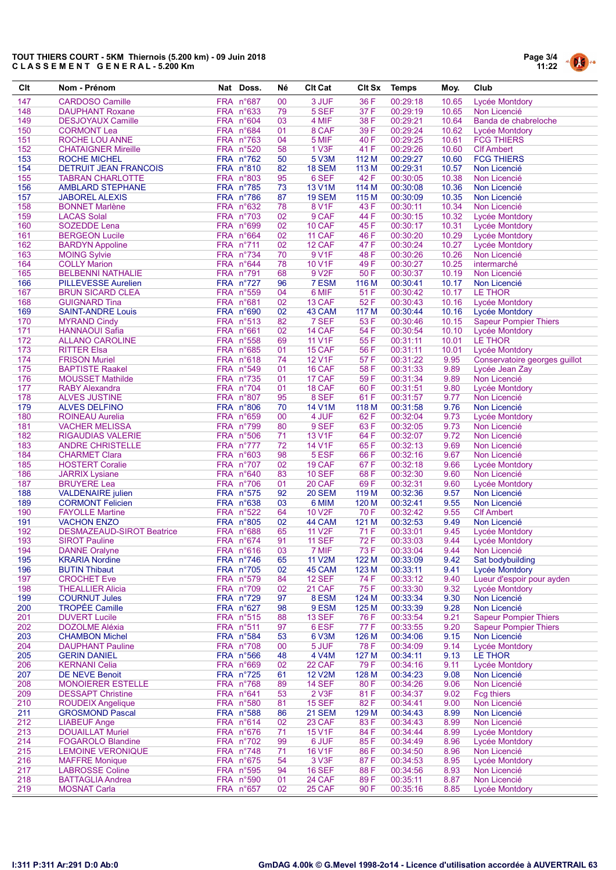

| Clt        | Nom - Prénom                                    | Nat Doss.              | Né       | <b>CIt Cat</b>          | Clt Sx        | Temps                | Moy.           | Club                                         |
|------------|-------------------------------------------------|------------------------|----------|-------------------------|---------------|----------------------|----------------|----------------------------------------------|
| 147        | <b>CARDOSO Camille</b>                          | FRA n°687              | 00       | 3 JUF                   | 36 F          | 00:29:18             | 10.65          | Lycée Montdory                               |
| 148        | <b>DAUPHANT Roxane</b>                          | FRA n°633              | 79       | 5 SEF                   | 37 F          | 00:29:19             | 10.65          | Non Licencié                                 |
| 149        | <b>DESJOYAUX Camille</b>                        | FRA n°604              | 03       | 4 MIF                   | 38 F          | 00:29:21             | 10.64          | Banda de chabreloche                         |
| 150        | <b>CORMONT Lea</b>                              | FRA n°684              | 01       | 8 CAF                   | 39 F          | 00:29:24             | 10.62          | Lycée Montdory                               |
| 151        | ROCHE LOU ANNE                                  | FRA n°763              | 04       | 5 MIF                   | 40 F          | 00:29:25             | 10.61          | <b>FCG THIERS</b>                            |
| 152        | <b>CHATAIGNER Mireille</b>                      | FRA n°520              | 58       | 1 V3F                   | 41 F          | 00:29:26             | 10.60          | <b>CIf Ambert</b>                            |
| 153        | ROCHE MICHEL                                    | $FRA$ n°762            | 50       | 5 V3M                   | 112 M         | 00:29:27             | 10.60          | <b>FCG THIERS</b>                            |
| 154        | <b>DETRUIT JEAN FRANCOIS</b>                    | FRA n°810              | 82       | <b>18 SEM</b>           | 113 M         | 00:29:31             | 10.57          | Non Licencié                                 |
| 155        | <b>TABRAN CHARLOTTE</b>                         | FRA n°803              | 95       | 6 SEF                   | 42 F          | 00:30:05             | 10.38          | Non Licencié                                 |
| 156        | <b>AMBLARD STEPHANE</b>                         | FRA n°785<br>FRA n°786 | 73       | 13 V1M                  | 114 M         | 00:30:08             | 10.36          | Non Licencié                                 |
| 157<br>158 | <b>JABOREL ALEXIS</b><br><b>BONNET Marlène</b>  | FRA n°632              | 87<br>78 | <b>19 SEM</b><br>8 V1F  | 115 M<br>43 F | 00:30:09<br>00:30:11 | 10.35<br>10.34 | Non Licencié<br>Non Licencié                 |
| 159        | <b>LACAS Solal</b>                              | FRA n°703              | 02       | 9 CAF                   | 44 F          | 00:30:15             | 10.32          | Lycée Montdory                               |
| 160        | <b>SOZEDDE Lena</b>                             | FRA n°699              | 02       | 10 CAF                  | 45 F          | 00:30:17             | 10.31          | Lycée Montdory                               |
| 161        | <b>BERGEON Lucile</b>                           | FRA n°664              | 02       | 11 CAF                  | 46 F          | 00:30:20             | 10.29          | Lycée Montdory                               |
| 162        | <b>BARDYN Appoline</b>                          | FRA n°711              | 02       | 12 CAF                  | 47 F          | 00:30:24             | 10.27          | Lycée Montdory                               |
| 163        | <b>MOING Sylvie</b>                             | FRA n°734              | 70       | 9 V1F                   | 48 F          | 00:30:26             | 10.26          | Non Licencié                                 |
| 164        | <b>COLLY Marion</b>                             | FRA n°644              | 78       | 10 V1F                  | 49 F          | 00:30:27             | 10.25          | intermarché                                  |
| 165        | <b>BELBENNI NATHALIE</b>                        | FRA n°791              | 68       | 9 V <sub>2</sub> F      | 50 F          | 00:30:37             | 10.19          | Non Licencié                                 |
| 166        | <b>PILLEVESSE Aurelien</b>                      | FRA n°727              | 96       | 7 ESM                   | 116 M         | 00:30:41             | 10.17          | Non Licencié                                 |
| 167        | <b>BRUN SICARD CLEA</b>                         | FRA n°559              | 04       | 6 MIF                   | 51 F          | 00:30:42             | 10.17          | LE THOR                                      |
| 168        | <b>GUIGNARD Tina</b>                            | FRA n°681              | 02       | 13 CAF                  | 52 F          | 00:30:43             | 10.16          | Lycée Montdory                               |
| 169        | <b>SAINT-ANDRE Louis</b>                        | FRA n°690              | 02       | 43 CAM                  | 117 M         | 00:30:44             | 10.16          | Lycée Montdory                               |
| 170        | <b>MYRAND Cindy</b>                             | FRA n°513              | 82       | 7 SEF                   | 53 F          | 00:30:46             | 10.15          | <b>Sapeur Pompier Thiers</b>                 |
| 171        | <b>HANNAOUI Safia</b>                           | FRA n°661              | 02       | 14 CAF                  | 54 F          | 00:30:54             | 10.10          | Lycée Montdory                               |
| 172<br>173 | <b>ALLANO CAROLINE</b><br>RITTER Elsa           | FRA n°558<br>FRA n°685 | 69<br>01 | <b>11 V1F</b><br>15 CAF | 55 F<br>56 F  | 00:31:11<br>00:31:11 | 10.01<br>10.01 | LE THOR<br>Lycée Montdory                    |
| 174        | <b>FRISON Muriel</b>                            | FRA n°618              | 74       | <b>12 V1F</b>           | 57 F          | 00:31:22             | 9.95           | Conservatoire georges guillot                |
| 175        | <b>BAPTISTE Raakel</b>                          | FRA n°549              | 01       | 16 CAF                  | 58 F          | 00:31:33             | 9.89           | Lycée Jean Zay                               |
| 176        | <b>MOUSSET Mathilde</b>                         | FRA n°735              | 01       | 17 CAF                  | 59 F          | 00:31:34             | 9.89           | Non Licencié                                 |
| 177        | <b>RABY Alexandra</b>                           | FRA n°704              | 01       | 18 CAF                  | 60 F          | 00:31:51             | 9.80           | Lycée Montdory                               |
| 178        | <b>ALVES JUSTINE</b>                            | FRA n°807              | 95       | 8 SEF                   | 61 F          | 00:31:57             | 9.77           | Non Licencié                                 |
| 179        | <b>ALVES DELFINO</b>                            | FRA n°806              | 70       | 14 V1M                  | 118 M         | 00:31:58             | 9.76           | Non Licencié                                 |
| 180        | <b>ROINEAU Aurelia</b>                          | FRA n°659              | 00       | 4 JUF                   | 62 F          | 00:32:04             | 9.73           | Lycée Montdory                               |
| 181        | <b>VACHER MELISSA</b>                           | FRA n°799              | 80       | 9 SEF                   | 63 F          | 00:32:05             | 9.73           | Non Licencié                                 |
| 182        | RIGAUDIAS VALERIE                               | FRA n°506              | 71       | 13 V1F                  | 64 F          | 00:32:07             | 9.72           | Non Licencié                                 |
| 183        | <b>ANDRE CHRISTELLE</b>                         | FRA n°777              | 72       | 14 V1F                  | 65 F          | 00:32:13             | 9.69           | Non Licencié                                 |
| 184        | <b>CHARMET Clara</b>                            | FRA n°603              | 98       | 5 ESF                   | 66 F          | 00:32:16             | 9.67           | Non Licencié                                 |
| 185        | <b>HOSTERT Coralie</b>                          | FRA n°707              | 02       | 19 CAF                  | 67 F          | 00:32:18             | 9.66           | Lycée Montdory                               |
| 186        | <b>JARRIX</b> Lysiane                           | FRA n°640<br>FRA n°706 | 83       | <b>10 SEF</b>           | 68 F          | 00:32:30             | 9.60           | Non Licencié<br>Lycée Montdory               |
| 187<br>188 | <b>BRUYERE Lea</b><br><b>VALDENAIRE</b> julien  | FRA n°575              | 01<br>92 | 20 CAF<br><b>20 SEM</b> | 69 F<br>119 M | 00:32:31<br>00:32:36 | 9.60<br>9.57   | Non Licencié                                 |
| 189        | <b>CORMONT Felicien</b>                         | FRA n°638              | 03       | 6 MIM                   | 120 M         | 00:32:41             | 9.55           | Non Licencié                                 |
| 190        | <b>FAYOLLE Martine</b>                          | $FRA$ n°522            | 64       | 10 V <sub>2</sub> F     | 70 F          | 00:32:42             | 9.55           | <b>Clf Ambert</b>                            |
| 191        | <b>VACHON ENZO</b>                              | FRA n°805              | 02       | 44 CAM                  | 121 M         | 00:32:53             | 9.49           | Non Licencié                                 |
| 192        | <b>DESMAZEAUD-SIROT Beatrice</b>                | FRA n°688              | 65       | 11 V2F                  | 71 F          | 00:33:01             | 9.45           | Lycée Montdory                               |
| 193        | <b>SIROT Pauline</b>                            | FRA n°674              | 91       | <b>11 SEF</b>           | 72 F          | 00:33:03             | 9.44           | Lycée Montdory                               |
| 194        | <b>DANNE Oralyne</b>                            | FRA n°616              | 03       | 7 MIF                   | 73 F          | 00:33:04             | 9.44           | Non Licencié                                 |
| 195        | <b>KRARIA Nordine</b>                           | FRA n°746              | 65       | <b>11 V2M</b>           | 122 M         | 00:33:09             | 9.42           | Sat bodybuilding                             |
| 196        | <b>BUTIN Thibaut</b>                            | FRA n°705              | 02       | 45 CAM                  | 123 M         | 00:33:11             | 9.41           | Lycée Montdory                               |
| 197        | <b>CROCHET Eve</b>                              | FRA n°579              | 84       | <b>12 SEF</b>           | 74 F          | 00:33:12             | 9.40           | Lueur d'espoir pour ayden                    |
| 198        | <b>THEALLIER Alicia</b>                         | FRA n°709              | 02       | 21 CAF                  | 75F           | 00:33:30             | 9.32           | Lycée Montdory                               |
| 199        | <b>COURNUT Jules</b>                            | FRA n°729              | 97       | 8 ESM                   | 124 M         | 00:33:34             | 9.30           | Non Licencié                                 |
| 200<br>201 | <b>TROPÉE Camille</b><br><b>DUVERT Lucile</b>   | FRA n°627<br>FRA n°515 | 98<br>88 | 9 ESM<br><b>13 SEF</b>  | 125 M<br>76 F | 00:33:39<br>00:33:54 | 9.28<br>9.21   | Non Licencié<br><b>Sapeur Pompier Thiers</b> |
| 202        | <b>DOZOLME Aléxia</b>                           | FRA n°511              | 97       | 6 ESF                   | 77 F          | 00:33:55             | 9.20           | <b>Sapeur Pompier Thiers</b>                 |
| 203        | <b>CHAMBON Michel</b>                           | FRA n°584              | 53       | 6 V3M                   | 126 M         | 00:34:06             | 9.15           | Non Licencié                                 |
| 204        | <b>DAUPHANT Pauline</b>                         | FRA n°708              | 00       | 5 JUF                   | 78 F          | 00:34:09             | 9.14           | Lycée Montdory                               |
| 205        | <b>GERIN DANIEL</b>                             | FRA n°566              | 48       | 4 V4M                   | 127 M         | 00:34:11             | 9.13           | LE THOR                                      |
| 206        | <b>KERNANI Celia</b>                            | FRA n°669              | 02       | 22 CAF                  | 79 F          | 00:34:16             | 9.11           | Lycée Montdory                               |
| 207        | <b>DE NEVE Benoit</b>                           | FRA n°725              | 61       | <b>12 V2M</b>           | 128 M         | 00:34:23             | 9.08           | Non Licencié                                 |
| 208        | MONOIERER ESTELLE                               | FRA n°768              | 89       | <b>14 SEF</b>           | 80F           | 00:34:26             | 9.06           | Non Licencié                                 |
| 209        | <b>DESSAPT Christine</b>                        | FRA n°641              | 53       | 2 V3F                   | 81 F          | 00:34:37             | 9.02           | <b>Fcg thiers</b>                            |
| 210        | <b>ROUDEIX Angelique</b>                        | FRA n°580              | 81       | <b>15 SEF</b>           | 82F           | 00:34:41             | 9.00           | Non Licencié                                 |
| 211        | <b>GROSMOND Pascal</b>                          | FRA n°588              | 86       | <b>21 SEM</b>           | 129 M         | 00:34:43             | 8.99           | Non Licencié                                 |
| 212        | <b>LIABEUF Ange</b>                             | FRA n°614              | 02       | 23 CAF                  | 83 F          | 00:34:43             | 8.99           | Non Licencié                                 |
| 213        | <b>DOUAILLAT Muriel</b>                         | FRA n°676              | 71       | 15 V1F                  | 84 F          | 00:34:44             | 8.99           | Lycée Montdory                               |
| 214        | <b>FOGAROLO Blandine</b>                        | FRA n°702              | 99       | 6 JUF                   | 85F           | 00:34:49             | 8.96           | Lycée Montdory                               |
| 215        | <b>LEMOINE VERONIQUE</b>                        | FRA n°748              | 71       | 16 V1F                  | 86 F          | 00:34:50             | 8.96           | Non Licencié                                 |
| 216<br>217 | <b>MAFFRE Monique</b><br><b>LABROSSE Coline</b> | FRA n°675<br>FRA n°595 | 54<br>94 | 3 V3F<br><b>16 SEF</b>  | 87F<br>88 F   | 00:34:53<br>00:34:56 | 8.95<br>8.93   | Lycée Montdory<br>Non Licencié               |
| 218        | <b>BATTAGLIA Andrea</b>                         | FRA n°590              | 01       | 24 CAF                  | 89F           | 00:35:11             | 8.87           | Non Licencié                                 |
| 219        | <b>MOSNAT Carla</b>                             | FRA n°657              | 02       | 25 CAF                  | 90 F          | 00:35:16             | 8.85           | Lycée Montdory                               |
|            |                                                 |                        |          |                         |               |                      |                |                                              |